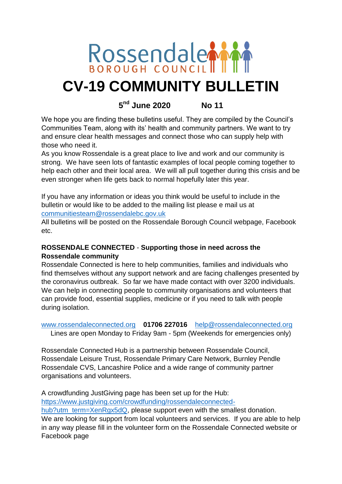

# **CV-19 COMMUNITY BULLETIN**

# **5 nd June 2020 No 11**

We hope you are finding these bulletins useful. They are compiled by the Council's Communities Team, along with its' health and community partners. We want to try and ensure clear health messages and connect those who can supply help with those who need it.

As you know Rossendale is a great place to live and work and our community is strong. We have seen lots of fantastic examples of local people coming together to help each other and their local area. We will all pull together during this crisis and be even stronger when life gets back to normal hopefully later this year.

If you have any information or ideas you think would be useful to include in the bulletin or would like to be added to the mailing list please e mail us at [communitiesteam@rossendalebc.gov.uk](mailto:communitiesteam@rossendalebc.gov.uk)

All bulletins will be posted on the Rossendale Borough Council webpage, Facebook etc.

# **ROSSENDALE CONNECTED** - **Supporting those in need across the Rossendale community**

Rossendale Connected is here to help communities, families and individuals who find themselves without any support network and are facing challenges presented by the coronavirus outbreak. So far we have made contact with over 3200 individuals. We can help in connecting people to community organisations and volunteers that can provide food, essential supplies, medicine or if you need to talk with people during isolation.

#### [www.rossendaleconnected.org](http://www.rossendaleconnected.org/) **01706 227016** [help@rossendaleconnected.org](mailto:help@rossendaleconnected.org) Lines are open Monday to Friday 9am - 5pm (Weekends for emergencies only)

Rossendale Connected Hub is a partnership between Rossendale Council, Rossendale Leisure Trust, Rossendale Primary Care Network, Burnley Pendle Rossendale CVS, Lancashire Police and a wide range of community partner organisations and volunteers.

A crowdfunding JustGiving page has been set up for the Hub: [https://www.justgiving.com/crowdfunding/rossendaleconnected-](https://www.justgiving.com/crowdfunding/rossendaleconnected-hub?utm_term=XenRgx5dQ)

[hub?utm\\_term=XenRgx5dQ,](https://www.justgiving.com/crowdfunding/rossendaleconnected-hub?utm_term=XenRgx5dQ) please support even with the smallest donation. We are looking for support from local volunteers and services. If you are able to help in any way please fill in the volunteer form on the Rossendale Connected website or Facebook page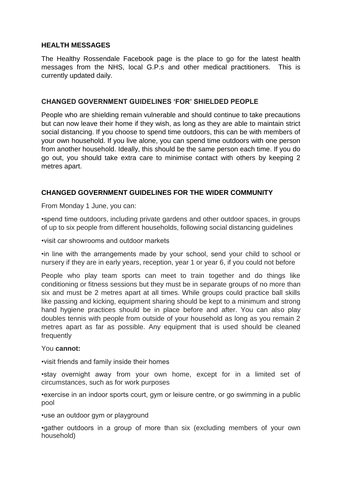#### **HEALTH MESSAGES**

The Healthy Rossendale Facebook page is the place to go for the latest health messages from the NHS, local G.P.s and other medical practitioners. This is currently updated daily.

#### **CHANGED GOVERNMENT GUIDELINES 'FOR' SHIELDED PEOPLE**

People who are shielding remain vulnerable and should continue to take precautions but can now leave their home if they wish, as long as they are able to maintain strict social distancing. If you choose to spend time outdoors, this can be with members of your own household. If you live alone, you can spend time outdoors with one person from another household. Ideally, this should be the same person each time. If you do go out, you should take extra care to minimise contact with others by keeping 2 metres apart.

### **CHANGED GOVERNMENT GUIDELINES FOR THE WIDER COMMUNITY**

From Monday 1 June, you can:

•spend time outdoors, including private gardens and other outdoor spaces, in groups of up to six people from different households, following social distancing guidelines

•visit car showrooms and outdoor markets

•in line with the arrangements made by your school, send your child to school or nursery if they are in early years, reception, year 1 or year 6, if you could not before

People who play team sports can meet to train together and do things like conditioning or fitness sessions but they must be in separate groups of no more than six and must be 2 metres apart at all times. While groups could practice ball skills like passing and kicking, equipment sharing should be kept to a minimum and strong hand hygiene practices should be in place before and after. You can also play doubles tennis with people from outside of your household as long as you remain 2 metres apart as far as possible. Any equipment that is used should be cleaned frequently

#### You **cannot:**

•visit friends and family inside their homes

•stay overnight away from your own home, except for in a limited set of circumstances, such as for work purposes

•exercise in an indoor sports court, gym or leisure centre, or go swimming in a public pool

•use an outdoor gym or playground

•gather outdoors in a group of more than six (excluding members of your own household)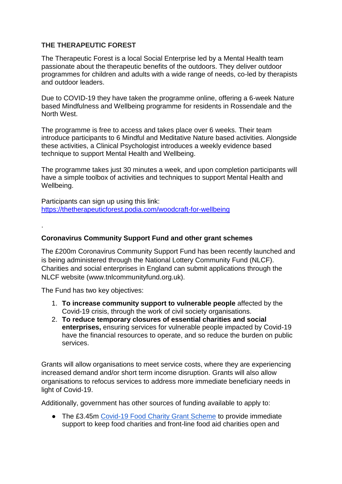#### **THE THERAPEUTIC FOREST**

The Therapeutic Forest is a local Social Enterprise led by a Mental Health team passionate about the therapeutic benefits of the outdoors. They deliver outdoor programmes for children and adults with a wide range of needs, co-led by therapists and outdoor leaders.

Due to COVID-19 they have taken the programme online, offering a 6-week Nature based Mindfulness and Wellbeing programme for residents in Rossendale and the North West.

The programme is free to access and takes place over 6 weeks. Their team introduce participants to 6 Mindful and Meditative Nature based activities. Alongside these activities, a Clinical Psychologist introduces a weekly evidence based technique to support Mental Health and Wellbeing.

The programme takes just 30 minutes a week, and upon completion participants will have a simple toolbox of activities and techniques to support Mental Health and Wellbeing.

Participants can sign up using this link: [https://thetherapeuticforest.podia.com/woodcraft-for-wellbeing](https://protect-eu.mimecast.com/s/c_4ECWn5Yf2zGRc6cPiu?domain=thetherapeuticforest.podia.com)

#### **Coronavirus Community Support Fund and other grant schemes**

The £200m Coronavirus Community Support Fund has been recently launched and is being administered through the National Lottery Community Fund (NLCF). Charities and social enterprises in England can submit applications through the NLCF website (www.tnlcommunityfund.org.uk).

The Fund has two key objectives:

.

- 1. **To increase community support to vulnerable people** affected by the Covid-19 crisis, through the work of civil society organisations.
- 2. **To reduce temporary closures of essential charities and social enterprises,** ensuring services for vulnerable people impacted by Covid-19 have the financial resources to operate, and so reduce the burden on public services.

Grants will allow organisations to meet service costs, where they are experiencing increased demand and/or short term income disruption. Grants will also allow organisations to refocus services to address more immediate beneficiary needs in light of Covid-19.

Additionally, government has other sources of funding available to apply to:

● The £3.45m [Covid-19 Food Charity Grant Scheme](https://defra.bravosolution.co.uk/web/login.html) to provide immediate support to keep food charities and front-line food aid charities open and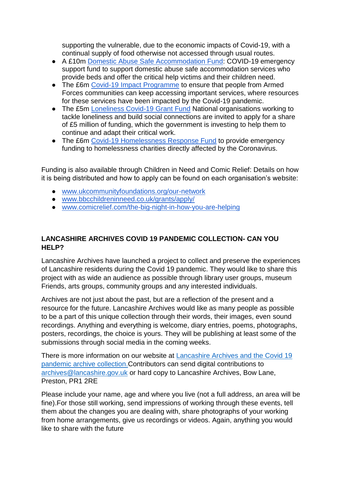supporting the vulnerable, due to the economic impacts of Covid-19, with a continual supply of food otherwise not accessed through usual routes.

- A £10m [Domestic Abuse Safe Accommodation Fund:](https://www.gov.uk/government/publications/domestic-abuse-safe-accommodation-covid-19-emergency-support-fund) COVID-19 emergency support fund to support domestic abuse safe accommodation services who provide beds and offer the critical help victims and their children need.
- The £6m [Covid-19 Impact Programme](https://covenantfund.org.uk/programme/covid-19-impact-programme/) to ensure that people from Armed Forces communities can keep accessing important services, where resources for these services have been impacted by the Covid-19 pandemic.
- The £5m [Loneliness Covid-19 Grant Fund](https://www.gov.uk/government/publications/5-million-loneliness-covid-19-grant-fund) National organisations working to tackle loneliness and build social connections are invited to apply for a share of £5 million of funding, which the government is investing to help them to continue and adapt their critical work.
- The £6m [Covid-19 Homelessness Response Fund](https://www.homeless.org.uk/connect/news/2020/may/14/covid-19-homelessness-response-fund-to-provide-%C2%A36-million-to-charities-1) to provide emergency funding to homelessness charities directly affected by the Coronavirus.

Funding is also available through Children in Need and Comic Relief: Details on how it is being distributed and how to apply can be found on each organisation's website:

- [www.ukcommunityfoundations.org/our-network](https://www.ukcommunityfoundations.org/our-network)
- [www.bbcchildreninneed.co.uk/grants/apply/](https://www.bbcchildreninneed.co.uk/grants/apply/)
- [www.comicrelief.com/the-big-night-in-how-you-are-helping](https://www.comicrelief.com/the-big-night-in-how-you-are-helping)

# **LANCASHIRE ARCHIVES COVID 19 PANDEMIC COLLECTION- CAN YOU HELP?**

Lancashire Archives have launched a project to collect and preserve the experiences of Lancashire residents during the Covid 19 pandemic. They would like to share this project with as wide an audience as possible through library user groups, museum Friends, arts groups, community groups and any interested individuals.

Archives are not just about the past, but are a reflection of the present and a resource for the future. Lancashire Archives would like as many people as possible to be a part of this unique collection through their words, their images, even sound recordings. Anything and everything is welcome, diary entries, poems, photographs, posters, recordings, the choice is yours. They will be publishing at least some of the submissions through social media in the coming weeks.

There is more information on our website at [Lancashire Archives and the Covid 19](https://protect-eu.mimecast.com/s/Kv3FCX6gZH1nARf6qheQ?domain=lancashire.gov.uk/)  [pandemic archive collection.](https://protect-eu.mimecast.com/s/Kv3FCX6gZH1nARf6qheQ?domain=lancashire.gov.uk/)Contributors can send digital contributions to [archives@lancashire.gov.uk](mailto:archives@lancashire.gov.uk) or hard copy to Lancashire Archives, Bow Lane, Preston, PR1 2RE

Please include your name, age and where you live (not a full address, an area will be fine).For those still working, send impressions of working through these events, tell them about the changes you are dealing with, share photographs of your working from home arrangements, give us recordings or videos. Again, anything you would like to share with the future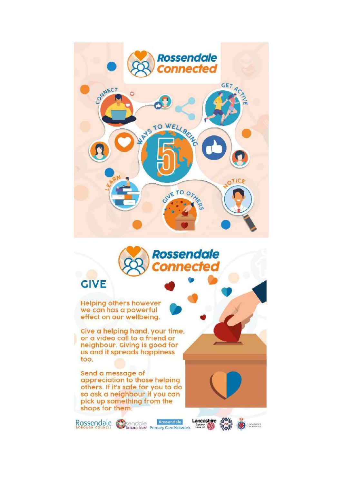



Rossendale Chisendale Rossendale Lancashire 2014

# **GIVE**

**Helping others however** we can has a powerful effect on our wellbeing.

Cive a helping hand, your time, or a video call to a friend or neighbour. Giving is good for us and it spreads happiness too.

Send a message of appreciation to those helping others. If it's safe for you to do so ask a neighbour if you can pick up something from the shops for them.

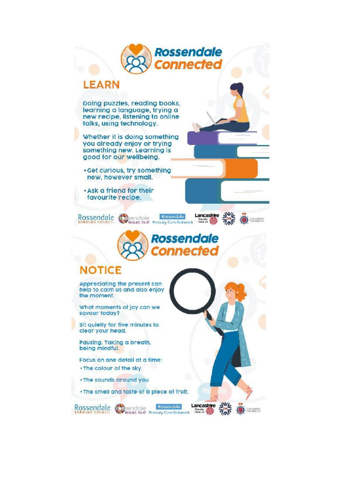

Rossendale Chicago Rossendale Lancasine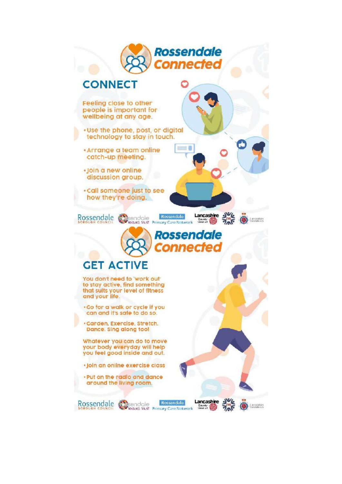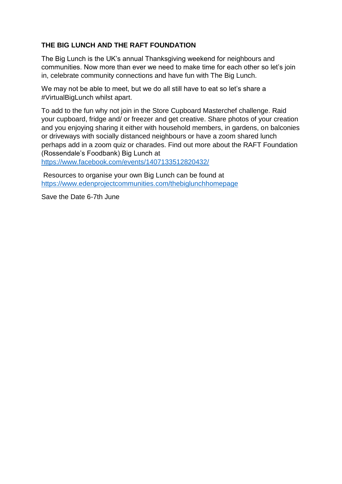# **THE BIG LUNCH AND THE RAFT FOUNDATION**

The Big Lunch is the UK's annual Thanksgiving weekend for neighbours and communities. Now more than ever we need to make time for each other so let's join in, celebrate community connections and have fun with The Big Lunch.

We may not be able to meet, but we do all still have to eat so let's share a #VirtualBigLunch whilst apart.

To add to the fun why not join in the Store Cupboard Masterchef challenge. Raid your cupboard, fridge and/ or freezer and get creative. Share photos of your creation and you enjoying sharing it either with household members, in gardens, on balconies or driveways with socially distanced neighbours or have a zoom shared lunch perhaps add in a zoom quiz or charades. Find out more about the RAFT Foundation (Rossendale's Foodbank) Big Lunch at

<https://www.facebook.com/events/1407133512820432/>

Resources to organise your own Big Lunch can be found at <https://www.edenprojectcommunities.com/thebiglunchhomepage>

Save the Date 6-7th June